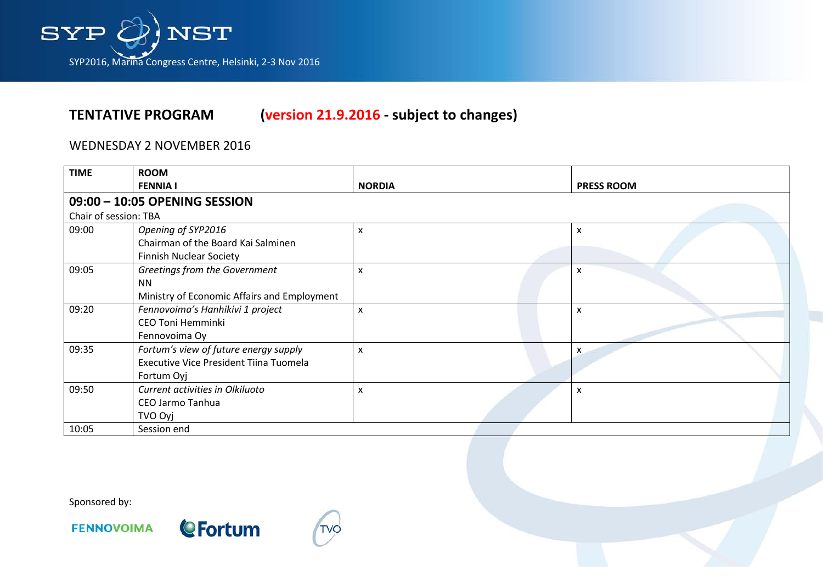

### WEDNESDAY 2 NOVEMBER 2016

| <b>TIME</b>           | <b>ROOM</b>                                 |                           |  |                   |  |  |
|-----------------------|---------------------------------------------|---------------------------|--|-------------------|--|--|
|                       | <b>FENNIA I</b>                             | <b>NORDIA</b>             |  | <b>PRESS ROOM</b> |  |  |
|                       | 09:00 - 10:05 OPENING SESSION               |                           |  |                   |  |  |
| Chair of session: TBA |                                             |                           |  |                   |  |  |
| 09:00                 | Opening of SYP2016                          | $\boldsymbol{\mathsf{x}}$ |  | X                 |  |  |
|                       | Chairman of the Board Kai Salminen          |                           |  |                   |  |  |
|                       | <b>Finnish Nuclear Society</b>              |                           |  |                   |  |  |
| 09:05                 | Greetings from the Government               | X                         |  | x                 |  |  |
|                       | <b>NN</b>                                   |                           |  |                   |  |  |
|                       | Ministry of Economic Affairs and Employment |                           |  |                   |  |  |
| 09:20                 | Fennovoima's Hanhikivi 1 project            | $\boldsymbol{\mathsf{x}}$ |  | X                 |  |  |
|                       | <b>CEO Toni Hemminki</b>                    |                           |  |                   |  |  |
|                       | Fennovoima Oy                               |                           |  |                   |  |  |
| 09:35                 | Fortum's view of future energy supply       | X                         |  | X                 |  |  |
|                       | Executive Vice President Tiina Tuomela      |                           |  |                   |  |  |
|                       | Fortum Oyj                                  |                           |  |                   |  |  |
| 09:50                 | Current activities in Olkiluoto             | $\boldsymbol{\mathsf{x}}$ |  | X                 |  |  |
|                       | CEO Jarmo Tanhua                            |                           |  |                   |  |  |
|                       | TVO Oyj                                     |                           |  |                   |  |  |
| 10:05                 | Session end                                 |                           |  |                   |  |  |

Sponsored by:







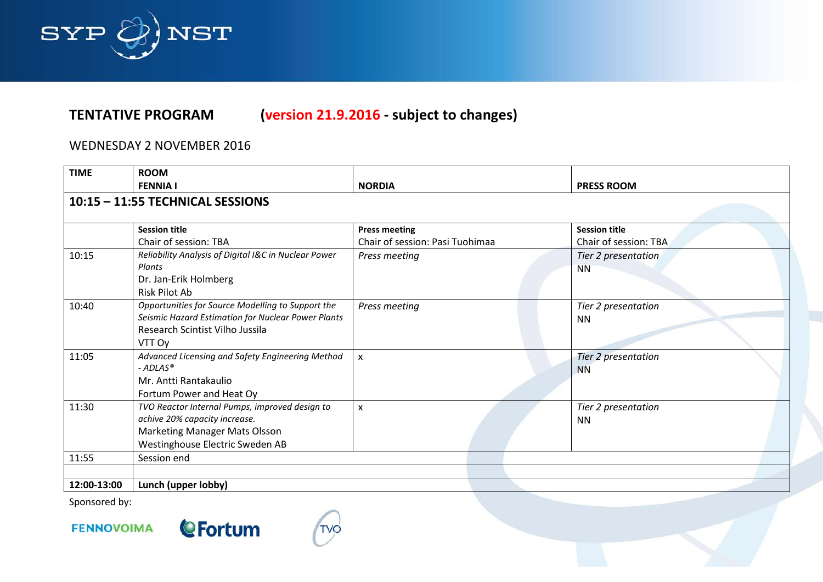

## WEDNESDAY 2 NOVEMBER 2016

| <b>TIME</b> | <b>ROOM</b>                                                                                                                                                |                                 |                                  |  |  |  |
|-------------|------------------------------------------------------------------------------------------------------------------------------------------------------------|---------------------------------|----------------------------------|--|--|--|
|             | <b>FENNIA I</b>                                                                                                                                            | <b>NORDIA</b>                   | <b>PRESS ROOM</b>                |  |  |  |
|             | 10:15 - 11:55 TECHNICAL SESSIONS                                                                                                                           |                                 |                                  |  |  |  |
|             | <b>Session title</b>                                                                                                                                       | <b>Press meeting</b>            | <b>Session title</b>             |  |  |  |
|             | Chair of session: TBA                                                                                                                                      | Chair of session: Pasi Tuohimaa | Chair of session: TBA            |  |  |  |
| 10:15       | Reliability Analysis of Digital I&C in Nuclear Power<br>Plants                                                                                             | Press meeting                   | Tier 2 presentation<br><b>NN</b> |  |  |  |
|             | Dr. Jan-Erik Holmberg<br>Risk Pilot Ab                                                                                                                     |                                 |                                  |  |  |  |
| 10:40       | Opportunities for Source Modelling to Support the<br>Seismic Hazard Estimation for Nuclear Power Plants<br>Research Scintist Vilho Jussila<br>VTT Oy       | Press meeting                   | Tier 2 presentation<br><b>NN</b> |  |  |  |
| 11:05       | Advanced Licensing and Safety Engineering Method<br>$-ADLAS®$<br>Mr. Antti Rantakaulio<br>Fortum Power and Heat Oy                                         | $\boldsymbol{\mathsf{x}}$       | Tier 2 presentation<br><b>NN</b> |  |  |  |
| 11:30       | TVO Reactor Internal Pumps, improved design to<br>achive 20% capacity increase.<br><b>Marketing Manager Mats Olsson</b><br>Westinghouse Electric Sweden AB | $\mathsf{x}$                    | Tier 2 presentation<br><b>NN</b> |  |  |  |
| 11:55       | Session end                                                                                                                                                |                                 |                                  |  |  |  |
|             |                                                                                                                                                            |                                 |                                  |  |  |  |
| 12:00-13:00 | Lunch (upper lobby)                                                                                                                                        |                                 |                                  |  |  |  |

Sponsored by:



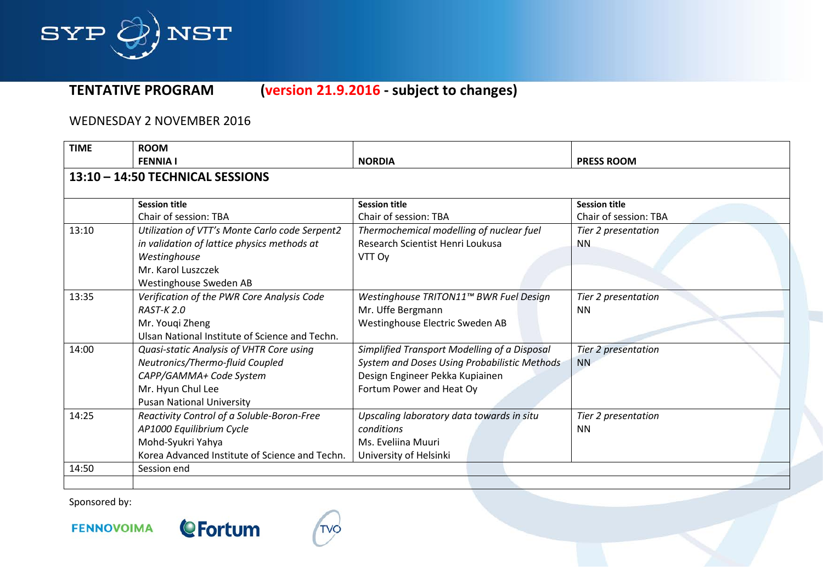

### WEDNESDAY 2 NOVEMBER 2016

| <b>TIME</b>                                    | <b>ROOM</b>                                    |                                              |                       |  |
|------------------------------------------------|------------------------------------------------|----------------------------------------------|-----------------------|--|
|                                                | <b>FENNIA I</b>                                | <b>NORDIA</b>                                | <b>PRESS ROOM</b>     |  |
|                                                | 13:10 - 14:50 TECHNICAL SESSIONS               |                                              |                       |  |
|                                                |                                                |                                              |                       |  |
|                                                | <b>Session title</b>                           | <b>Session title</b>                         | <b>Session title</b>  |  |
|                                                | Chair of session: TBA                          | Chair of session: TBA                        | Chair of session: TBA |  |
| 13:10                                          | Utilization of VTT's Monte Carlo code Serpent2 | Thermochemical modelling of nuclear fuel     | Tier 2 presentation   |  |
|                                                | in validation of lattice physics methods at    | Research Scientist Henri Loukusa             | <b>NN</b>             |  |
|                                                | Westinghouse                                   | VTT Oy                                       |                       |  |
|                                                | Mr. Karol Luszczek                             |                                              |                       |  |
|                                                | Westinghouse Sweden AB                         |                                              |                       |  |
| 13:35                                          | Verification of the PWR Core Analysis Code     | Westinghouse TRITON11™ BWR Fuel Design       | Tier 2 presentation   |  |
|                                                | <b>RAST-K2.0</b>                               | Mr. Uffe Bergmann                            | <b>NN</b>             |  |
|                                                | Mr. Youqi Zheng                                | Westinghouse Electric Sweden AB              |                       |  |
| Ulsan National Institute of Science and Techn. |                                                |                                              |                       |  |
| 14:00                                          | Quasi-static Analysis of VHTR Core using       | Simplified Transport Modelling of a Disposal | Tier 2 presentation   |  |
|                                                | Neutronics/Thermo-fluid Coupled                | System and Doses Using Probabilistic Methods | <b>NN</b>             |  |
|                                                | CAPP/GAMMA+ Code System                        | Design Engineer Pekka Kupiainen              |                       |  |
|                                                | Mr. Hyun Chul Lee                              | Fortum Power and Heat Oy                     |                       |  |
|                                                | <b>Pusan National University</b>               |                                              |                       |  |
| 14:25                                          | Reactivity Control of a Soluble-Boron-Free     | Upscaling laboratory data towards in situ    | Tier 2 presentation   |  |
|                                                | AP1000 Equilibrium Cycle                       | conditions                                   | <b>NN</b>             |  |
|                                                | Mohd-Syukri Yahya                              | Ms. Eveliina Muuri                           |                       |  |
|                                                | Korea Advanced Institute of Science and Techn. | University of Helsinki                       |                       |  |
| 14:50                                          | Session end                                    |                                              |                       |  |
|                                                |                                                |                                              |                       |  |

Sponsored by:



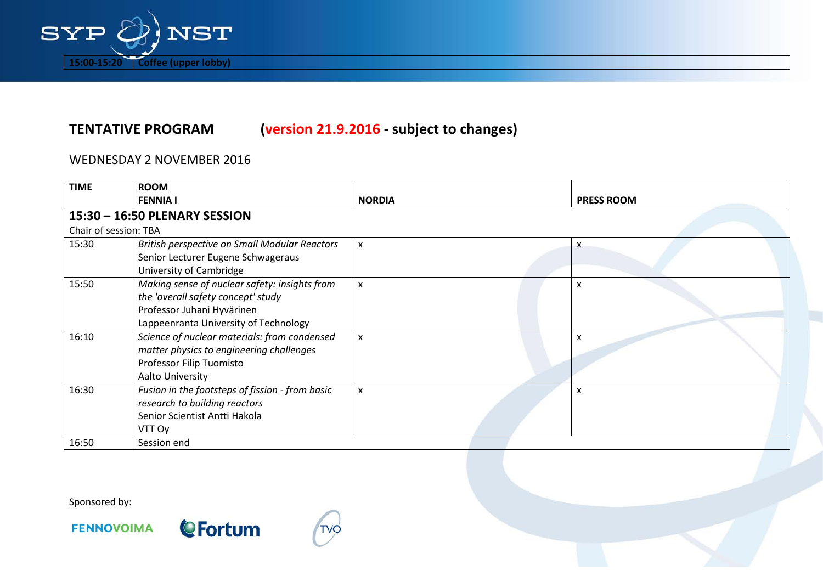

### WEDNESDAY 2 NOVEMBER 2016

| <b>TIME</b>           | <b>ROOM</b>                                                                                                                                                |                           |  |                   |  |  |
|-----------------------|------------------------------------------------------------------------------------------------------------------------------------------------------------|---------------------------|--|-------------------|--|--|
|                       | <b>FENNIA I</b>                                                                                                                                            | <b>NORDIA</b>             |  | <b>PRESS ROOM</b> |  |  |
|                       | 15:30 - 16:50 PLENARY SESSION                                                                                                                              |                           |  |                   |  |  |
| Chair of session: TBA |                                                                                                                                                            |                           |  |                   |  |  |
| 15:30                 | British perspective on Small Modular Reactors<br>Senior Lecturer Eugene Schwageraus<br>University of Cambridge                                             | $\boldsymbol{\mathsf{x}}$ |  | X                 |  |  |
| 15:50                 | Making sense of nuclear safety: insights from<br>the 'overall safety concept' study<br>Professor Juhani Hyvärinen<br>Lappeenranta University of Technology | $\boldsymbol{\mathsf{x}}$ |  | X                 |  |  |
| 16:10                 | Science of nuclear materials: from condensed<br>matter physics to engineering challenges<br>Professor Filip Tuomisto<br>Aalto University                   | $\boldsymbol{\mathsf{x}}$ |  | x                 |  |  |
| 16:30                 | Fusion in the footsteps of fission - from basic<br>research to building reactors<br>Senior Scientist Antti Hakola<br>VTT Oy                                | $\boldsymbol{\mathsf{x}}$ |  | x                 |  |  |
| 16:50                 | Session end                                                                                                                                                |                           |  |                   |  |  |

Sponsored by:





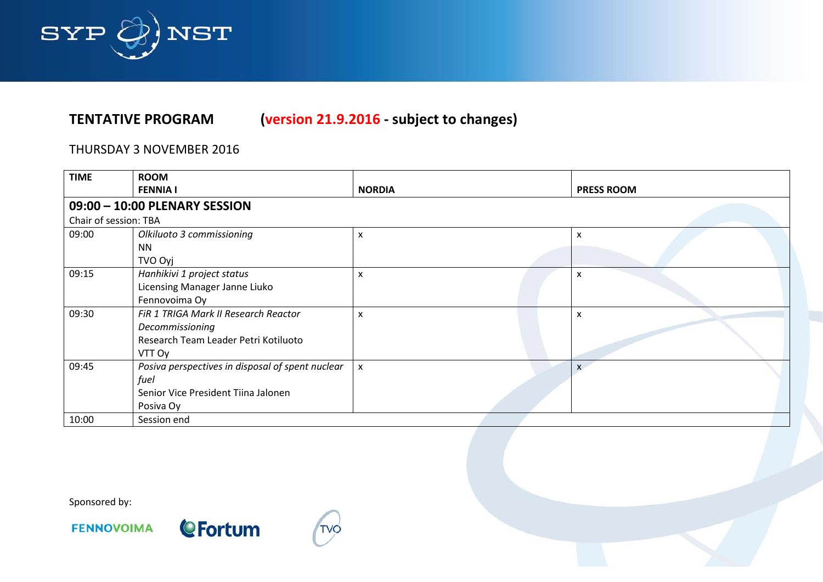

### THURSDAY 3 NOVEMBER 2016

| <b>TIME</b>           | <b>ROOM</b>                                      |                           |                   |
|-----------------------|--------------------------------------------------|---------------------------|-------------------|
|                       | <b>FENNIA I</b>                                  | <b>NORDIA</b>             | <b>PRESS ROOM</b> |
|                       | 09:00 - 10:00 PLENARY SESSION                    |                           |                   |
| Chair of session: TBA |                                                  |                           |                   |
| 09:00                 | Olkiluoto 3 commissioning                        | X                         | x                 |
|                       | <b>NN</b>                                        |                           |                   |
|                       | TVO Oyj                                          |                           |                   |
| 09:15                 | Hanhikivi 1 project status                       | X                         | x                 |
|                       | Licensing Manager Janne Liuko                    |                           |                   |
|                       | Fennovoima Oy                                    |                           |                   |
| 09:30                 | FIR 1 TRIGA Mark II Research Reactor             | X                         | X                 |
|                       | Decommissioning                                  |                           |                   |
|                       | Research Team Leader Petri Kotiluoto             |                           |                   |
|                       | VTT Oy                                           |                           |                   |
| 09:45                 | Posiva perspectives in disposal of spent nuclear | $\boldsymbol{\mathsf{x}}$ |                   |
|                       | fuel                                             |                           |                   |
|                       | Senior Vice President Tiina Jalonen              |                           |                   |
|                       | Posiva Oy                                        |                           |                   |
| 10:00                 | Session end                                      |                           |                   |

Sponsored by:



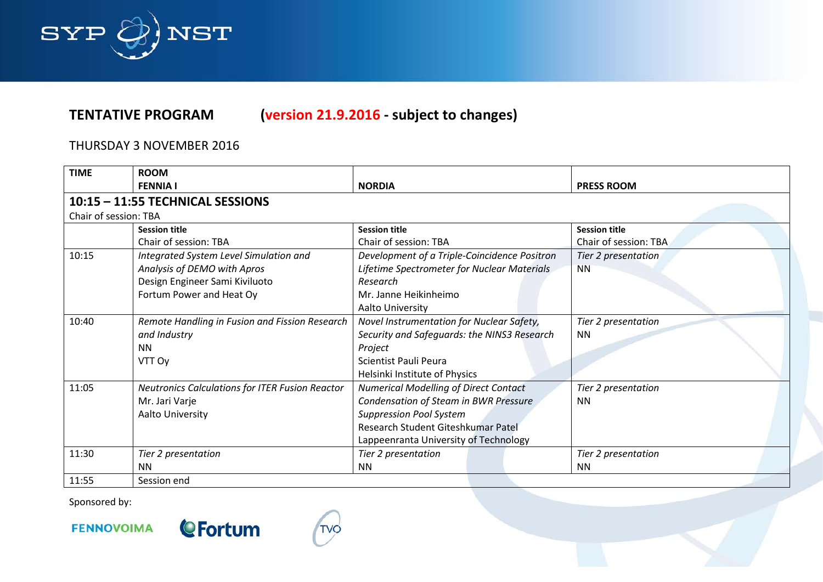

# THURSDAY 3 NOVEMBER 2016

| <b>TIME</b>           | <b>ROOM</b>                                            |                                              |                       |  |
|-----------------------|--------------------------------------------------------|----------------------------------------------|-----------------------|--|
|                       | <b>FENNIA I</b>                                        | <b>NORDIA</b>                                | <b>PRESS ROOM</b>     |  |
|                       | 10:15 - 11:55 TECHNICAL SESSIONS                       |                                              |                       |  |
| Chair of session: TBA |                                                        |                                              |                       |  |
|                       | <b>Session title</b>                                   | <b>Session title</b>                         | <b>Session title</b>  |  |
|                       | Chair of session: TBA                                  | Chair of session: TBA                        | Chair of session: TBA |  |
| 10:15                 | Integrated System Level Simulation and                 | Development of a Triple-Coincidence Positron | Tier 2 presentation   |  |
|                       | Analysis of DEMO with Apros                            | Lifetime Spectrometer for Nuclear Materials  | <b>NN</b>             |  |
|                       | Design Engineer Sami Kiviluoto                         | Research                                     |                       |  |
|                       | Fortum Power and Heat Oy                               | Mr. Janne Heikinheimo                        |                       |  |
|                       |                                                        | Aalto University                             |                       |  |
| 10:40                 | Remote Handling in Fusion and Fission Research         | Novel Instrumentation for Nuclear Safety,    | Tier 2 presentation   |  |
|                       | and Industry                                           | Security and Safeguards: the NINS3 Research  | <b>NN</b>             |  |
|                       | <b>NN</b><br>Project                                   |                                              |                       |  |
|                       | VTT Oy                                                 | Scientist Pauli Peura                        |                       |  |
|                       |                                                        | Helsinki Institute of Physics                |                       |  |
| 11:05                 | <b>Neutronics Calculations for ITER Fusion Reactor</b> | <b>Numerical Modelling of Direct Contact</b> | Tier 2 presentation   |  |
|                       | Mr. Jari Varje                                         | Condensation of Steam in BWR Pressure        | <b>NN</b>             |  |
|                       | Aalto University                                       | <b>Suppression Pool System</b>               |                       |  |
|                       |                                                        | Research Student Giteshkumar Patel           |                       |  |
|                       |                                                        | Lappeenranta University of Technology        |                       |  |
| 11:30                 | Tier 2 presentation                                    | Tier 2 presentation                          | Tier 2 presentation   |  |
|                       | <b>NN</b>                                              | <b>NN</b>                                    | <b>NN</b>             |  |
| 11:55                 | Session end                                            |                                              |                       |  |

Sponsored by: